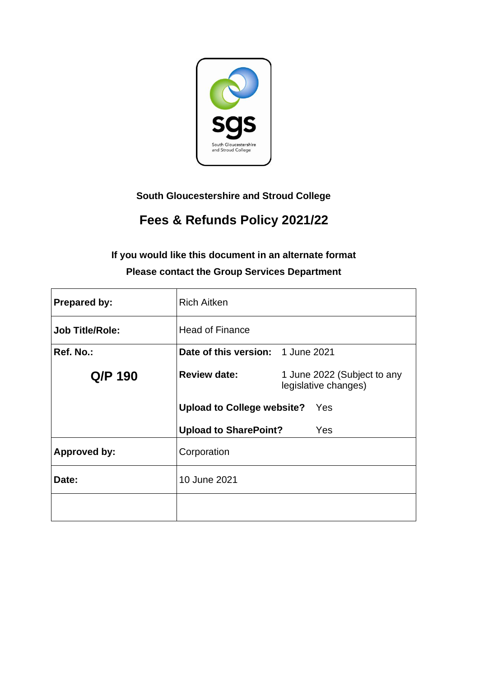

**South Gloucestershire and Stroud College**

# **Fees & Refunds Policy 2021/22**

# **If you would like this document in an alternate format Please contact the Group Services Department**

| <b>Prepared by:</b>    | <b>Rich Aitken</b>                |                                                     |
|------------------------|-----------------------------------|-----------------------------------------------------|
| <b>Job Title/Role:</b> | <b>Head of Finance</b>            |                                                     |
| Ref. No.:              | Date of this version: 1 June 2021 |                                                     |
| Q/P 190                | <b>Review date:</b>               | 1 June 2022 (Subject to any<br>legislative changes) |
|                        | <b>Upload to College website?</b> | <b>Yes</b>                                          |
|                        | <b>Upload to SharePoint?</b>      | Yes                                                 |
| <b>Approved by:</b>    | Corporation                       |                                                     |
| Date:                  | 10 June 2021                      |                                                     |
|                        |                                   |                                                     |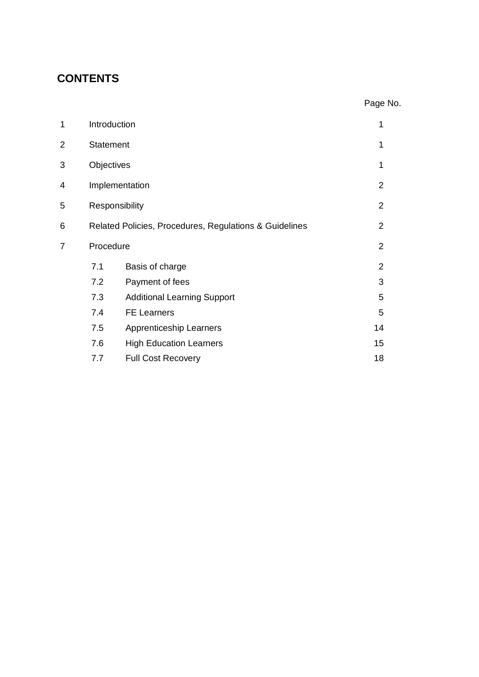# **CONTENTS**

| 1 | Introduction                                           |                                    |                |
|---|--------------------------------------------------------|------------------------------------|----------------|
| 2 | <b>Statement</b>                                       |                                    | 1              |
| 3 | Objectives                                             |                                    | 1              |
| 4 |                                                        | Implementation                     | 2              |
| 5 |                                                        | Responsibility                     | $\overline{2}$ |
| 6 | Related Policies, Procedures, Regulations & Guidelines |                                    | $\overline{2}$ |
| 7 | Procedure                                              |                                    | $\overline{2}$ |
|   | 7.1                                                    | Basis of charge                    | $\overline{2}$ |
|   | 7.2                                                    | Payment of fees                    | 3              |
|   | 7.3                                                    | <b>Additional Learning Support</b> | 5              |
|   | 7.4                                                    | <b>FE Learners</b>                 | 5              |
|   | 7.5                                                    | Apprenticeship Learners            | 14             |
|   | 7.6                                                    | <b>High Education Learners</b>     | 15             |
|   | 7.7                                                    | <b>Full Cost Recovery</b>          | 18             |

Page No.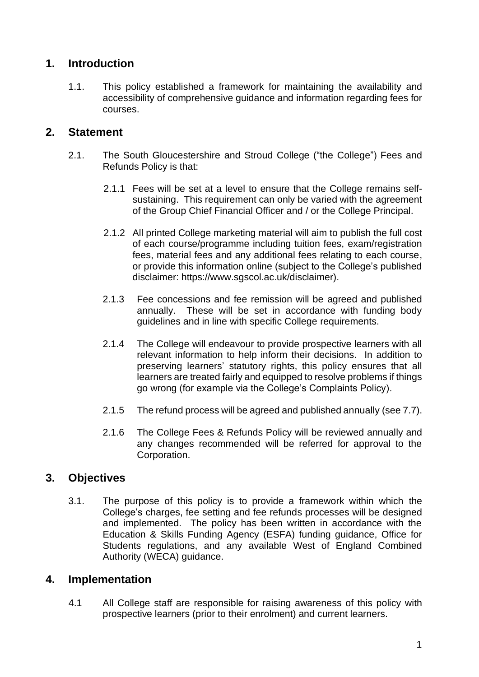## **1. Introduction**

1.1. This policy established a framework for maintaining the availability and accessibility of comprehensive guidance and information regarding fees for courses.

## **2. Statement**

- 2.1. The South Gloucestershire and Stroud College ("the College") Fees and Refunds Policy is that:
	- 2.1.1 Fees will be set at a level to ensure that the College remains selfsustaining. This requirement can only be varied with the agreement of the Group Chief Financial Officer and / or the College Principal.
	- 2.1.2 All printed College marketing material will aim to publish the full cost of each course/programme including tuition fees, exam/registration fees, material fees and any additional fees relating to each course, or provide this information online (subject to the College's published disclaimer: https://www.sgscol.ac.uk/disclaimer).
	- 2.1.3 Fee concessions and fee remission will be agreed and published annually. These will be set in accordance with funding body guidelines and in line with specific College requirements.
	- 2.1.4 The College will endeavour to provide prospective learners with all relevant information to help inform their decisions. In addition to preserving learners' statutory rights, this policy ensures that all learners are treated fairly and equipped to resolve problems if things go wrong (for example via the College's Complaints Policy).
	- 2.1.5 The refund process will be agreed and published annually (see 7.7).
	- 2.1.6 The College Fees & Refunds Policy will be reviewed annually and any changes recommended will be referred for approval to the Corporation.

# **3. Objectives**

3.1. The purpose of this policy is to provide a framework within which the College's charges, fee setting and fee refunds processes will be designed and implemented. The policy has been written in accordance with the Education & Skills Funding Agency (ESFA) funding guidance, Office for Students regulations, and any available West of England Combined Authority (WECA) guidance.

## **4. Implementation**

4.1 All College staff are responsible for raising awareness of this policy with prospective learners (prior to their enrolment) and current learners.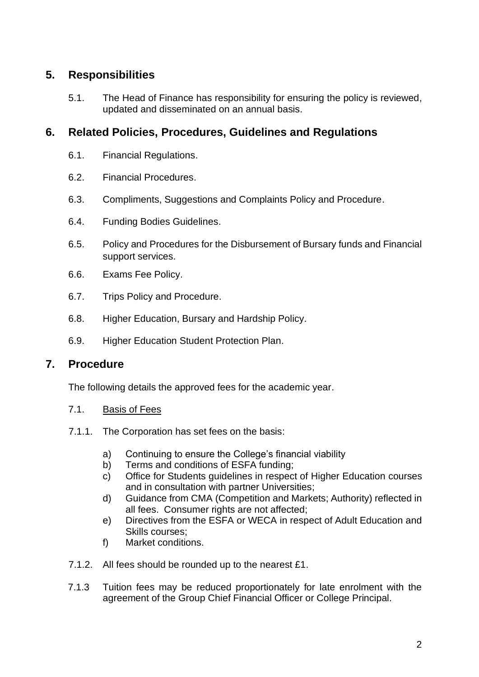# **5. Responsibilities**

5.1. The Head of Finance has responsibility for ensuring the policy is reviewed, updated and disseminated on an annual basis.

## **6. Related Policies, Procedures, Guidelines and Regulations**

- 6.1. Financial Regulations.
- 6.2. Financial Procedures.
- 6.3. Compliments, Suggestions and Complaints Policy and Procedure.
- 6.4. Funding Bodies Guidelines.
- 6.5. Policy and Procedures for the Disbursement of Bursary funds and Financial support services.
- 6.6. Exams Fee Policy.
- 6.7. Trips Policy and Procedure.
- 6.8. Higher Education, Bursary and Hardship Policy.
- 6.9. Higher Education Student Protection Plan.

## **7. Procedure**

The following details the approved fees for the academic year.

- 7.1. Basis of Fees
- 7.1.1. The Corporation has set fees on the basis:
	- a) Continuing to ensure the College's financial viability
	- b) Terms and conditions of ESFA funding:
	- c) Office for Students guidelines in respect of Higher Education courses and in consultation with partner Universities;
	- d) Guidance from CMA (Competition and Markets; Authority) reflected in all fees. Consumer rights are not affected;
	- e) Directives from the ESFA or WECA in respect of Adult Education and Skills courses;
	- f) Market conditions.
- 7.1.2. All fees should be rounded up to the nearest £1.
- 7.1.3 Tuition fees may be reduced proportionately for late enrolment with the agreement of the Group Chief Financial Officer or College Principal.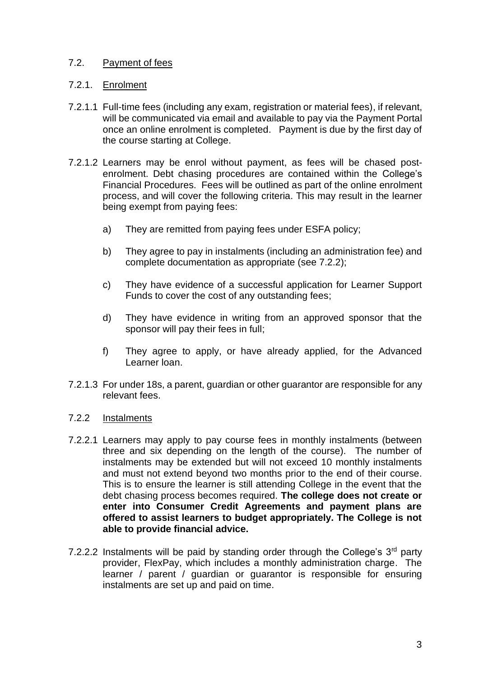### 7.2. Payment of fees

#### 7.2.1. Enrolment

- 7.2.1.1 Full-time fees (including any exam, registration or material fees), if relevant, will be communicated via email and available to pay via the Payment Portal once an online enrolment is completed. Payment is due by the first day of the course starting at College.
- 7.2.1.2 Learners may be enrol without payment, as fees will be chased postenrolment. Debt chasing procedures are contained within the College's Financial Procedures. Fees will be outlined as part of the online enrolment process, and will cover the following criteria. This may result in the learner being exempt from paying fees:
	- a) They are remitted from paying fees under ESFA policy;
	- b) They agree to pay in instalments (including an administration fee) and complete documentation as appropriate (see 7.2.2);
	- c) They have evidence of a successful application for Learner Support Funds to cover the cost of any outstanding fees;
	- d) They have evidence in writing from an approved sponsor that the sponsor will pay their fees in full;
	- f) They agree to apply, or have already applied, for the Advanced Learner loan.
- 7.2.1.3 For under 18s, a parent, guardian or other guarantor are responsible for any relevant fees.
- 7.2.2 Instalments
- 7.2.2.1 Learners may apply to pay course fees in monthly instalments (between three and six depending on the length of the course). The number of instalments may be extended but will not exceed 10 monthly instalments and must not extend beyond two months prior to the end of their course. This is to ensure the learner is still attending College in the event that the debt chasing process becomes required. **The college does not create or enter into Consumer Credit Agreements and payment plans are offered to assist learners to budget appropriately. The College is not able to provide financial advice.**
- 7.2.2.2 Instalments will be paid by standing order through the College's  $3<sup>rd</sup>$  party provider, FlexPay, which includes a monthly administration charge. The learner / parent / guardian or guarantor is responsible for ensuring instalments are set up and paid on time.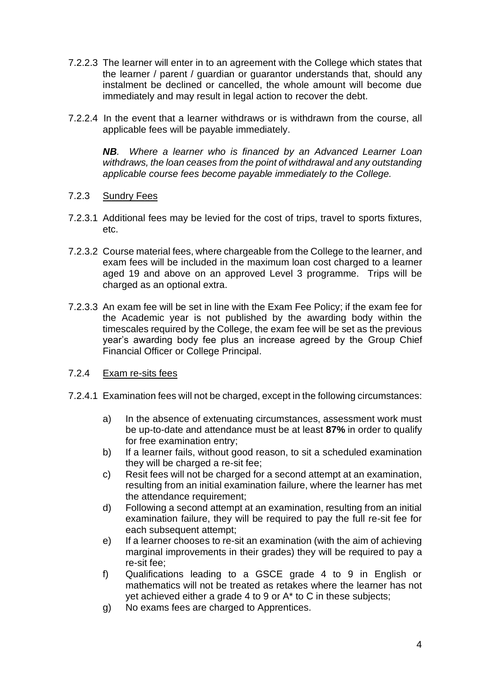- 7.2.2.3 The learner will enter in to an agreement with the College which states that the learner / parent / guardian or guarantor understands that, should any instalment be declined or cancelled, the whole amount will become due immediately and may result in legal action to recover the debt.
- 7.2.2.4 In the event that a learner withdraws or is withdrawn from the course, all applicable fees will be payable immediately.

*NB. Where a learner who is financed by an Advanced Learner Loan withdraws, the loan ceases from the point of withdrawal and any outstanding applicable course fees become payable immediately to the College.*

#### 7.2.3 Sundry Fees

- 7.2.3.1 Additional fees may be levied for the cost of trips, travel to sports fixtures, etc.
- 7.2.3.2 Course material fees, where chargeable from the College to the learner, and exam fees will be included in the maximum loan cost charged to a learner aged 19 and above on an approved Level 3 programme. Trips will be charged as an optional extra.
- 7.2.3.3 An exam fee will be set in line with the Exam Fee Policy; if the exam fee for the Academic year is not published by the awarding body within the timescales required by the College, the exam fee will be set as the previous year's awarding body fee plus an increase agreed by the Group Chief Financial Officer or College Principal.
- 7.2.4 Exam re-sits fees
- 7.2.4.1 Examination fees will not be charged, except in the following circumstances:
	- a) In the absence of extenuating circumstances, assessment work must be up-to-date and attendance must be at least **87%** in order to qualify for free examination entry;
	- b) If a learner fails, without good reason, to sit a scheduled examination they will be charged a re-sit fee;
	- c) Resit fees will not be charged for a second attempt at an examination, resulting from an initial examination failure, where the learner has met the attendance requirement;
	- d) Following a second attempt at an examination, resulting from an initial examination failure, they will be required to pay the full re-sit fee for each subsequent attempt;
	- e) If a learner chooses to re-sit an examination (with the aim of achieving marginal improvements in their grades) they will be required to pay a re-sit fee;
	- f) Qualifications leading to a GSCE grade 4 to 9 in English or mathematics will not be treated as retakes where the learner has not yet achieved either a grade 4 to 9 or A\* to C in these subjects;
	- g) No exams fees are charged to Apprentices.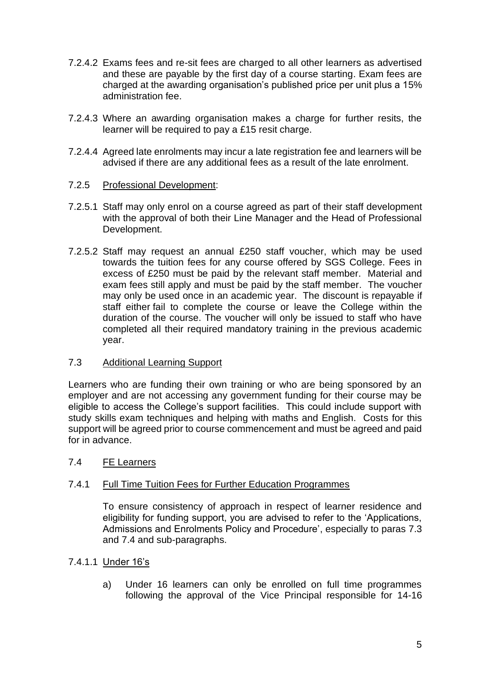- 7.2.4.2 Exams fees and re-sit fees are charged to all other learners as advertised and these are payable by the first day of a course starting. Exam fees are charged at the awarding organisation's published price per unit plus a 15% administration fee.
- 7.2.4.3 Where an awarding organisation makes a charge for further resits, the learner will be required to pay a £15 resit charge.
- 7.2.4.4 Agreed late enrolments may incur a late registration fee and learners will be advised if there are any additional fees as a result of the late enrolment.

#### 7.2.5 Professional Development:

- 7.2.5.1 Staff may only enrol on a course agreed as part of their staff development with the approval of both their Line Manager and the Head of Professional Development.
- 7.2.5.2 Staff may request an annual £250 staff voucher, which may be used towards the tuition fees for any course offered by SGS College. Fees in excess of £250 must be paid by the relevant staff member. Material and exam fees still apply and must be paid by the staff member. The voucher may only be used once in an academic year. The discount is repayable if staff either fail to complete the course or leave the College within the duration of the course. The voucher will only be issued to staff who have completed all their required mandatory training in the previous academic year.

#### 7.3 Additional Learning Support

Learners who are funding their own training or who are being sponsored by an employer and are not accessing any government funding for their course may be eligible to access the College's support facilities. This could include support with study skills exam techniques and helping with maths and English. Costs for this support will be agreed prior to course commencement and must be agreed and paid for in advance.

#### 7.4 FE Learners

#### 7.4.1 Full Time Tuition Fees for Further Education Programmes

To ensure consistency of approach in respect of learner residence and eligibility for funding support, you are advised to refer to the 'Applications, Admissions and Enrolments Policy and Procedure', especially to paras 7.3 and 7.4 and sub-paragraphs.

#### 7.4.1.1 Under 16's

a) Under 16 learners can only be enrolled on full time programmes following the approval of the Vice Principal responsible for 14-16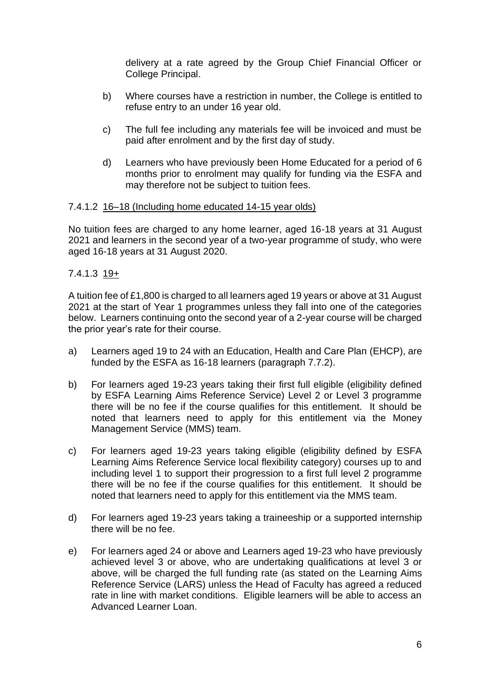delivery at a rate agreed by the Group Chief Financial Officer or College Principal.

- b) Where courses have a restriction in number, the College is entitled to refuse entry to an under 16 year old.
- c) The full fee including any materials fee will be invoiced and must be paid after enrolment and by the first day of study.
- d) Learners who have previously been Home Educated for a period of 6 months prior to enrolment may qualify for funding via the ESFA and may therefore not be subject to tuition fees.

#### 7.4.1.2 16–18 (Including home educated 14-15 year olds)

No tuition fees are charged to any home learner, aged 16-18 years at 31 August 2021 and learners in the second year of a two-year programme of study, who were aged 16-18 years at 31 August 2020.

### 7.4.1.3 19+

A tuition fee of £1,800 is charged to all learners aged 19 years or above at 31 August 2021 at the start of Year 1 programmes unless they fall into one of the categories below. Learners continuing onto the second year of a 2-year course will be charged the prior year's rate for their course.

- a) Learners aged 19 to 24 with an Education, Health and Care Plan (EHCP), are funded by the ESFA as 16-18 learners (paragraph 7.7.2).
- b) For learners aged 19-23 years taking their first full eligible (eligibility defined by ESFA Learning Aims Reference Service) Level 2 or Level 3 programme there will be no fee if the course qualifies for this entitlement. It should be noted that learners need to apply for this entitlement via the Money Management Service (MMS) team.
- c) For learners aged 19-23 years taking eligible (eligibility defined by ESFA Learning Aims Reference Service local flexibility category) courses up to and including level 1 to support their progression to a first full level 2 programme there will be no fee if the course qualifies for this entitlement. It should be noted that learners need to apply for this entitlement via the MMS team.
- d) For learners aged 19-23 years taking a traineeship or a supported internship there will be no fee.
- e) For learners aged 24 or above and Learners aged 19-23 who have previously achieved level 3 or above, who are undertaking qualifications at level 3 or above, will be charged the full funding rate (as stated on the Learning Aims Reference Service (LARS) unless the Head of Faculty has agreed a reduced rate in line with market conditions. Eligible learners will be able to access an Advanced Learner Loan.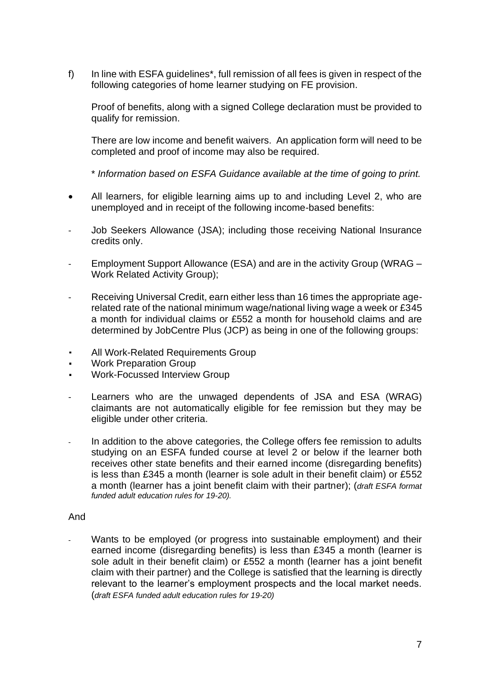f) In line with ESFA guidelines\*, full remission of all fees is given in respect of the following categories of home learner studying on FE provision.

Proof of benefits, along with a signed College declaration must be provided to qualify for remission.

There are low income and benefit waivers. An application form will need to be completed and proof of income may also be required.

\* *Information based on ESFA Guidance available at the time of going to print.*

- All learners, for eligible learning aims up to and including Level 2, who are unemployed and in receipt of the following income-based benefits:
- Job Seekers Allowance (JSA); including those receiving National Insurance credits only.
- Employment Support Allowance (ESA) and are in the activity Group (WRAG Work Related Activity Group);
- Receiving Universal Credit, earn either less than 16 times the appropriate agerelated rate of the national minimum wage/national living wage a week or £345 a month for individual claims or £552 a month for household claims and are determined by JobCentre Plus (JCP) as being in one of the following groups:
- All Work-Related Requirements Group
- Work Preparation Group
- Work-Focussed Interview Group
- Learners who are the unwaged dependents of JSA and ESA (WRAG) claimants are not automatically eligible for fee remission but they may be eligible under other criteria.
- In addition to the above categories, the College offers fee remission to adults studying on an ESFA funded course at level 2 or below if the learner both receives other state benefits and their earned income (disregarding benefits) is less than £345 a month (learner is sole adult in their benefit claim) or £552 a month (learner has a joint benefit claim with their partner); (*draft ESFA format funded adult education rules for 19-20).*

#### And

Wants to be employed (or progress into sustainable employment) and their earned income (disregarding benefits) is less than £345 a month (learner is sole adult in their benefit claim) or £552 a month (learner has a joint benefit claim with their partner) and the College is satisfied that the learning is directly relevant to the learner's employment prospects and the local market needs. (*draft ESFA funded adult education rules for 19-20)*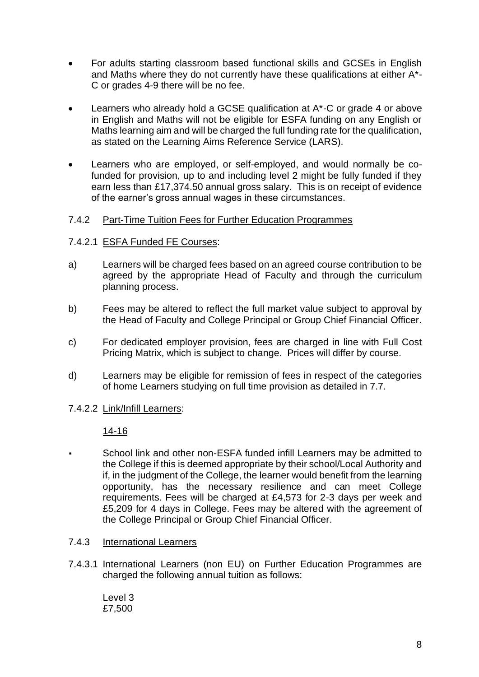- For adults starting classroom based functional skills and GCSEs in English and Maths where they do not currently have these qualifications at either A\*- C or grades 4-9 there will be no fee.
- Learners who already hold a GCSE qualification at A\*-C or grade 4 or above in English and Maths will not be eligible for ESFA funding on any English or Maths learning aim and will be charged the full funding rate for the qualification, as stated on the Learning Aims Reference Service (LARS).
- Learners who are employed, or self-employed, and would normally be cofunded for provision, up to and including level 2 might be fully funded if they earn less than £17,374.50 annual gross salary. This is on receipt of evidence of the earner's gross annual wages in these circumstances.

### 7.4.2 Part-Time Tuition Fees for Further Education Programmes

#### 7.4.2.1 ESFA Funded FE Courses:

- a) Learners will be charged fees based on an agreed course contribution to be agreed by the appropriate Head of Faculty and through the curriculum planning process.
- b) Fees may be altered to reflect the full market value subject to approval by the Head of Faculty and College Principal or Group Chief Financial Officer.
- c) For dedicated employer provision, fees are charged in line with Full Cost Pricing Matrix, which is subject to change. Prices will differ by course.
- d) Learners may be eligible for remission of fees in respect of the categories of home Learners studying on full time provision as detailed in 7.7.

#### 7.4.2.2 Link/Infill Learners:

#### 14-16

School link and other non-ESFA funded infill Learners may be admitted to the College if this is deemed appropriate by their school/Local Authority and if, in the judgment of the College, the learner would benefit from the learning opportunity, has the necessary resilience and can meet College requirements. Fees will be charged at £4,573 for 2-3 days per week and £5,209 for 4 days in College. Fees may be altered with the agreement of the College Principal or Group Chief Financial Officer.

#### 7.4.3 International Learners

7.4.3.1 International Learners (non EU) on Further Education Programmes are charged the following annual tuition as follows:

Level 3 £7,500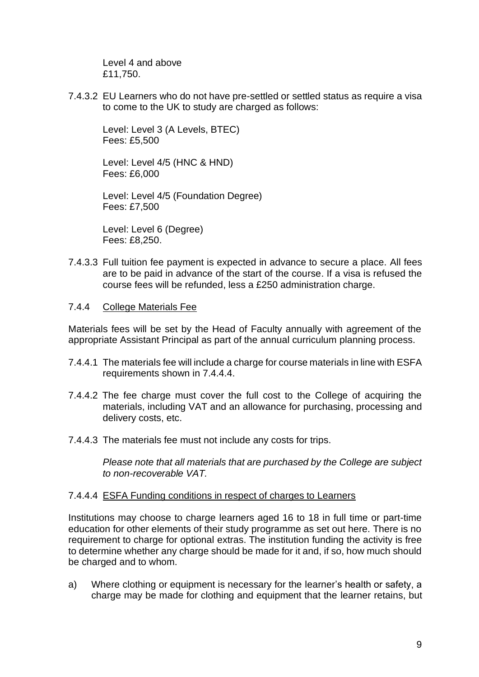Level 4 and above £11,750.

7.4.3.2 EU Learners who do not have pre-settled or settled status as require a visa to come to the UK to study are charged as follows:

Level: Level 3 (A Levels, BTEC) Fees: £5,500

Level: Level 4/5 (HNC & HND) Fees: £6,000

Level: Level 4/5 (Foundation Degree) Fees: £7,500

Level: Level 6 (Degree) Fees: £8,250.

- 7.4.3.3 Full tuition fee payment is expected in advance to secure a place. All fees are to be paid in advance of the start of the course. If a visa is refused the course fees will be refunded, less a £250 administration charge.
- 7.4.4 College Materials Fee

Materials fees will be set by the Head of Faculty annually with agreement of the appropriate Assistant Principal as part of the annual curriculum planning process.

- 7.4.4.1 The materials fee will include a charge for course materials in line with ESFA requirements shown in 7.4.4.4.
- 7.4.4.2 The fee charge must cover the full cost to the College of acquiring the materials, including VAT and an allowance for purchasing, processing and delivery costs, etc.
- 7.4.4.3 The materials fee must not include any costs for trips.

*Please note that all materials that are purchased by the College are subject to non-recoverable VAT.*

#### 7.4.4.4 ESFA Funding conditions in respect of charges to Learners

Institutions may choose to charge learners aged 16 to 18 in full time or part-time education for other elements of their study programme as set out here. There is no requirement to charge for optional extras. The institution funding the activity is free to determine whether any charge should be made for it and, if so, how much should be charged and to whom.

a) Where clothing or equipment is necessary for the learner's health or safety, a charge may be made for clothing and equipment that the learner retains, but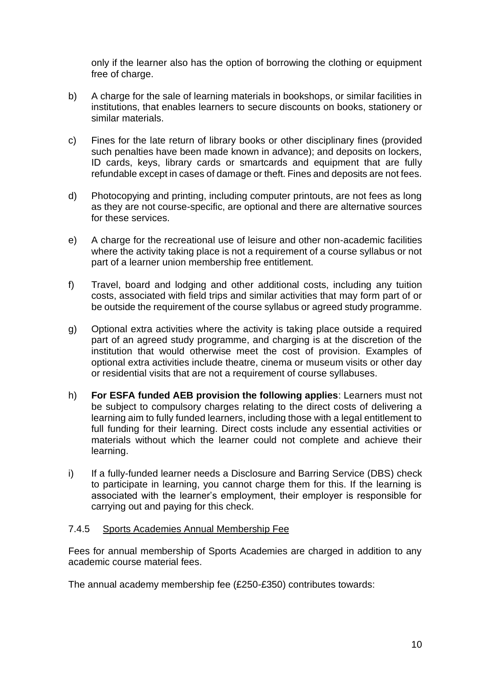only if the learner also has the option of borrowing the clothing or equipment free of charge.

- b) A charge for the sale of learning materials in bookshops, or similar facilities in institutions, that enables learners to secure discounts on books, stationery or similar materials.
- c) Fines for the late return of library books or other disciplinary fines (provided such penalties have been made known in advance); and deposits on lockers, ID cards, keys, library cards or smartcards and equipment that are fully refundable except in cases of damage or theft. Fines and deposits are not fees.
- d) Photocopying and printing, including computer printouts, are not fees as long as they are not course-specific, are optional and there are alternative sources for these services.
- e) A charge for the recreational use of leisure and other non-academic facilities where the activity taking place is not a requirement of a course syllabus or not part of a learner union membership free entitlement.
- f) Travel, board and lodging and other additional costs, including any tuition costs, associated with field trips and similar activities that may form part of or be outside the requirement of the course syllabus or agreed study programme.
- g) Optional extra activities where the activity is taking place outside a required part of an agreed study programme, and charging is at the discretion of the institution that would otherwise meet the cost of provision. Examples of optional extra activities include theatre, cinema or museum visits or other day or residential visits that are not a requirement of course syllabuses.
- h) **For ESFA funded AEB provision the following applies**: Learners must not be subject to compulsory charges relating to the direct costs of delivering a learning aim to fully funded learners, including those with a legal entitlement to full funding for their learning. Direct costs include any essential activities or materials without which the learner could not complete and achieve their learning.
- i) If a fully-funded learner needs a Disclosure and Barring Service (DBS) check to participate in learning, you cannot charge them for this. If the learning is associated with the learner's employment, their employer is responsible for carrying out and paying for this check.

### 7.4.5 Sports Academies Annual Membership Fee

Fees for annual membership of Sports Academies are charged in addition to any academic course material fees.

The annual academy membership fee (£250-£350) contributes towards: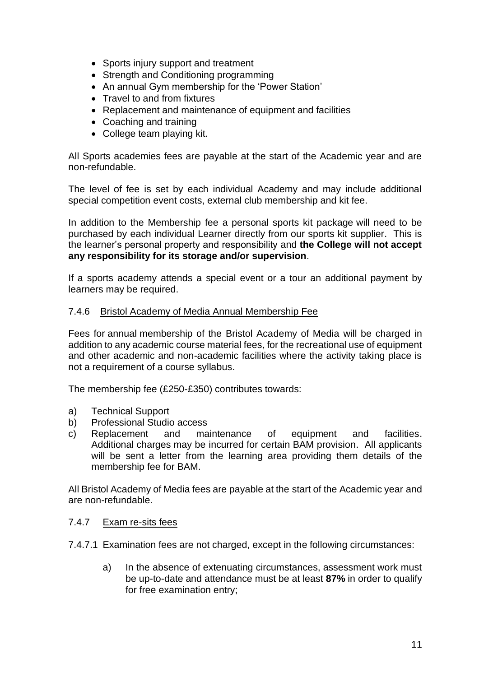- Sports injury support and treatment
- Strength and Conditioning programming
- An annual Gym membership for the 'Power Station'
- Travel to and from fixtures
- Replacement and maintenance of equipment and facilities
- Coaching and training
- College team playing kit.

All Sports academies fees are payable at the start of the Academic year and are non-refundable.

The level of fee is set by each individual Academy and may include additional special competition event costs, external club membership and kit fee.

In addition to the Membership fee a personal sports kit package will need to be purchased by each individual Learner directly from our sports kit supplier. This is the learner's personal property and responsibility and **the College will not accept any responsibility for its storage and/or supervision**.

If a sports academy attends a special event or a tour an additional payment by learners may be required.

#### 7.4.6 Bristol Academy of Media Annual Membership Fee

Fees for annual membership of the Bristol Academy of Media will be charged in addition to any academic course material fees, for the recreational use of equipment and other academic and non-academic facilities where the activity taking place is not a requirement of a course syllabus.

The membership fee (£250-£350) contributes towards:

- a) Technical Support
- b) Professional Studio access
- c) Replacement and maintenance of equipment and facilities. Additional charges may be incurred for certain BAM provision. All applicants will be sent a letter from the learning area providing them details of the membership fee for BAM.

All Bristol Academy of Media fees are payable at the start of the Academic year and are non-refundable.

#### 7.4.7 Exam re-sits fees

- 7.4.7.1 Examination fees are not charged, except in the following circumstances:
	- a) In the absence of extenuating circumstances, assessment work must be up-to-date and attendance must be at least **87%** in order to qualify for free examination entry;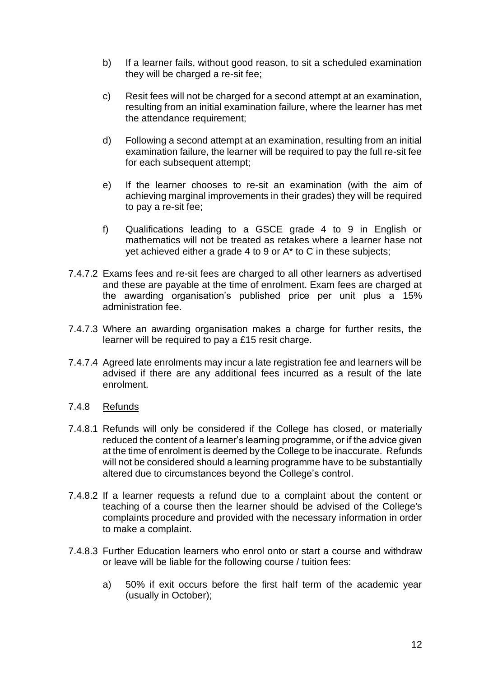- b) If a learner fails, without good reason, to sit a scheduled examination they will be charged a re-sit fee;
- c) Resit fees will not be charged for a second attempt at an examination, resulting from an initial examination failure, where the learner has met the attendance requirement;
- d) Following a second attempt at an examination, resulting from an initial examination failure, the learner will be required to pay the full re-sit fee for each subsequent attempt;
- e) If the learner chooses to re-sit an examination (with the aim of achieving marginal improvements in their grades) they will be required to pay a re-sit fee;
- f) Qualifications leading to a GSCE grade 4 to 9 in English or mathematics will not be treated as retakes where a learner hase not yet achieved either a grade 4 to 9 or A\* to C in these subjects;
- 7.4.7.2 Exams fees and re-sit fees are charged to all other learners as advertised and these are payable at the time of enrolment. Exam fees are charged at the awarding organisation's published price per unit plus a 15% administration fee.
- 7.4.7.3 Where an awarding organisation makes a charge for further resits, the learner will be required to pay a £15 resit charge.
- 7.4.7.4 Agreed late enrolments may incur a late registration fee and learners will be advised if there are any additional fees incurred as a result of the late enrolment.
- 7.4.8 Refunds
- 7.4.8.1 Refunds will only be considered if the College has closed, or materially reduced the content of a learner's learning programme, or if the advice given at the time of enrolment is deemed by the College to be inaccurate. Refunds will not be considered should a learning programme have to be substantially altered due to circumstances beyond the College's control.
- 7.4.8.2 If a learner requests a refund due to a complaint about the content or teaching of a course then the learner should be advised of the College's complaints procedure and provided with the necessary information in order to make a complaint.
- 7.4.8.3 Further Education learners who enrol onto or start a course and withdraw or leave will be liable for the following course / tuition fees:
	- a) 50% if exit occurs before the first half term of the academic year (usually in October);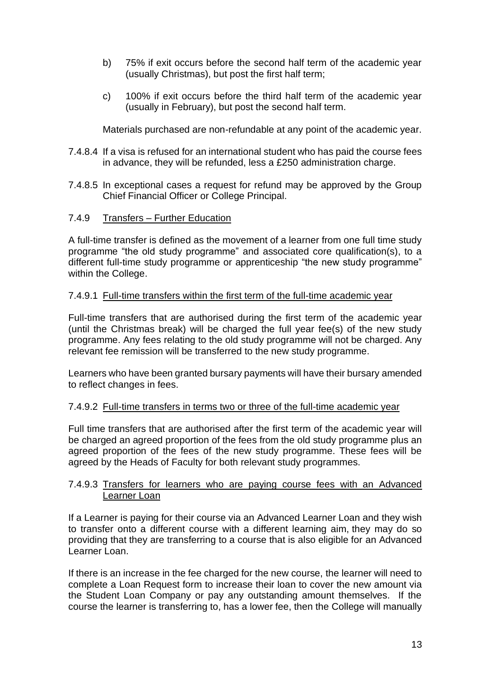- b) 75% if exit occurs before the second half term of the academic year (usually Christmas), but post the first half term;
- c) 100% if exit occurs before the third half term of the academic year (usually in February), but post the second half term.

Materials purchased are non-refundable at any point of the academic year.

- 7.4.8.4 If a visa is refused for an international student who has paid the course fees in advance, they will be refunded, less a £250 administration charge.
- 7.4.8.5 In exceptional cases a request for refund may be approved by the Group Chief Financial Officer or College Principal.

### 7.4.9 Transfers – Further Education

A full-time transfer is defined as the movement of a learner from one full time study programme "the old study programme" and associated core qualification(s), to a different full-time study programme or apprenticeship "the new study programme" within the College.

#### 7.4.9.1 Full-time transfers within the first term of the full-time academic year

Full-time transfers that are authorised during the first term of the academic year (until the Christmas break) will be charged the full year fee(s) of the new study programme. Any fees relating to the old study programme will not be charged. Any relevant fee remission will be transferred to the new study programme.

Learners who have been granted bursary payments will have their bursary amended to reflect changes in fees.

#### 7.4.9.2 Full-time transfers in terms two or three of the full-time academic year

Full time transfers that are authorised after the first term of the academic year will be charged an agreed proportion of the fees from the old study programme plus an agreed proportion of the fees of the new study programme. These fees will be agreed by the Heads of Faculty for both relevant study programmes.

#### 7.4.9.3 Transfers for learners who are paying course fees with an Advanced Learner Loan

If a Learner is paying for their course via an Advanced Learner Loan and they wish to transfer onto a different course with a different learning aim, they may do so providing that they are transferring to a course that is also eligible for an Advanced Learner Loan.

If there is an increase in the fee charged for the new course, the learner will need to complete a Loan Request form to increase their loan to cover the new amount via the Student Loan Company or pay any outstanding amount themselves. If the course the learner is transferring to, has a lower fee, then the College will manually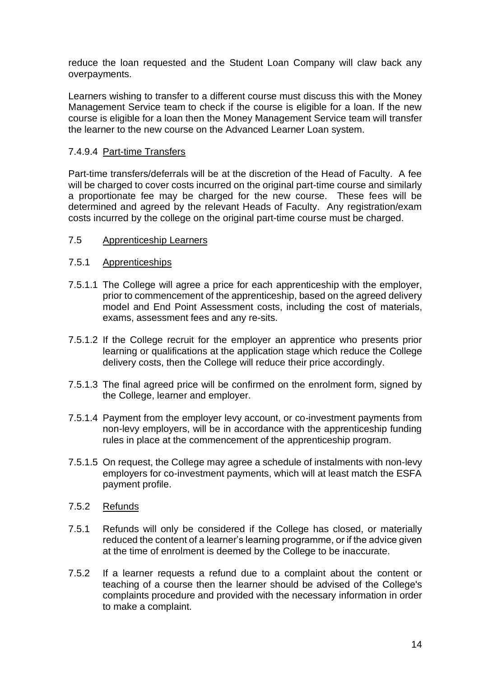reduce the loan requested and the Student Loan Company will claw back any overpayments.

Learners wishing to transfer to a different course must discuss this with the Money Management Service team to check if the course is eligible for a loan. If the new course is eligible for a loan then the Money Management Service team will transfer the learner to the new course on the Advanced Learner Loan system.

### 7.4.9.4 Part-time Transfers

Part-time transfers/deferrals will be at the discretion of the Head of Faculty. A fee will be charged to cover costs incurred on the original part-time course and similarly a proportionate fee may be charged for the new course. These fees will be determined and agreed by the relevant Heads of Faculty. Any registration/exam costs incurred by the college on the original part-time course must be charged.

### 7.5 Apprenticeship Learners

### 7.5.1 Apprenticeships

- 7.5.1.1 The College will agree a price for each apprenticeship with the employer, prior to commencement of the apprenticeship, based on the agreed delivery model and End Point Assessment costs, including the cost of materials, exams, assessment fees and any re-sits.
- 7.5.1.2 If the College recruit for the employer an apprentice who presents prior learning or qualifications at the application stage which reduce the College delivery costs, then the College will reduce their price accordingly.
- 7.5.1.3 The final agreed price will be confirmed on the enrolment form, signed by the College, learner and employer.
- 7.5.1.4 Payment from the employer levy account, or co-investment payments from non-levy employers, will be in accordance with the apprenticeship funding rules in place at the commencement of the apprenticeship program.
- 7.5.1.5 On request, the College may agree a schedule of instalments with non-levy employers for co-investment payments, which will at least match the ESFA payment profile.
- 7.5.2 Refunds
- 7.5.1 Refunds will only be considered if the College has closed, or materially reduced the content of a learner's learning programme, or if the advice given at the time of enrolment is deemed by the College to be inaccurate.
- 7.5.2 If a learner requests a refund due to a complaint about the content or teaching of a course then the learner should be advised of the College's complaints procedure and provided with the necessary information in order to make a complaint.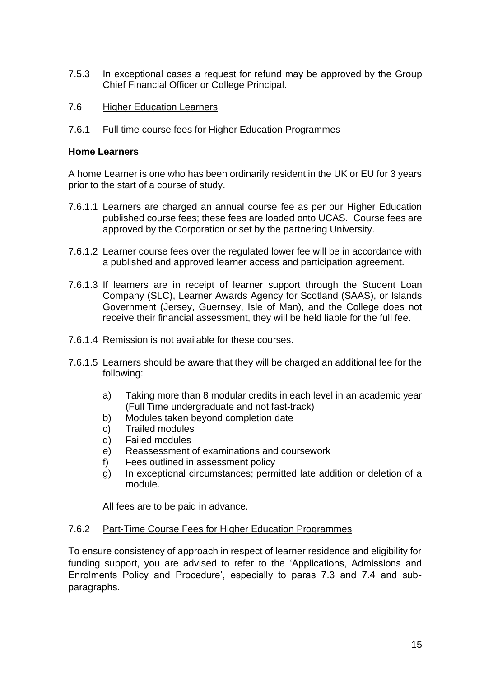- 7.5.3 In exceptional cases a request for refund may be approved by the Group Chief Financial Officer or College Principal.
- 7.6 Higher Education Learners

#### 7.6.1 Full time course fees for Higher Education Programmes

#### **Home Learners**

A home Learner is one who has been ordinarily resident in the UK or EU for 3 years prior to the start of a course of study.

- 7.6.1.1 Learners are charged an annual course fee as per our Higher Education published course fees; these fees are loaded onto UCAS. Course fees are approved by the Corporation or set by the partnering University.
- 7.6.1.2 Learner course fees over the regulated lower fee will be in accordance with a published and approved learner access and participation agreement.
- 7.6.1.3 If learners are in receipt of learner support through the Student Loan Company (SLC), Learner Awards Agency for Scotland (SAAS), or Islands Government (Jersey, Guernsey, Isle of Man), and the College does not receive their financial assessment, they will be held liable for the full fee.
- 7.6.1.4 Remission is not available for these courses.
- 7.6.1.5 Learners should be aware that they will be charged an additional fee for the following:
	- a) Taking more than 8 modular credits in each level in an academic year (Full Time undergraduate and not fast-track)
	- b) Modules taken beyond completion date
	- c) Trailed modules
	- d) Failed modules
	- e) Reassessment of examinations and coursework
	- f) Fees outlined in assessment policy
	- g) In exceptional circumstances; permitted late addition or deletion of a module.

All fees are to be paid in advance.

#### 7.6.2 Part-Time Course Fees for Higher Education Programmes

To ensure consistency of approach in respect of learner residence and eligibility for funding support, you are advised to refer to the 'Applications, Admissions and Enrolments Policy and Procedure', especially to paras 7.3 and 7.4 and subparagraphs.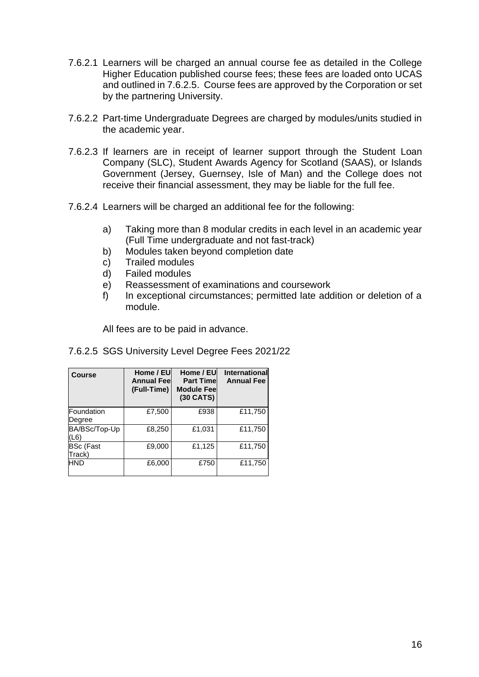- 7.6.2.1 Learners will be charged an annual course fee as detailed in the College Higher Education published course fees; these fees are loaded onto UCAS and outlined in 7.6.2.5. Course fees are approved by the Corporation or set by the partnering University.
- 7.6.2.2 Part-time Undergraduate Degrees are charged by modules/units studied in the academic year.
- 7.6.2.3 If learners are in receipt of learner support through the Student Loan Company (SLC), Student Awards Agency for Scotland (SAAS), or Islands Government (Jersey, Guernsey, Isle of Man) and the College does not receive their financial assessment, they may be liable for the full fee.
- 7.6.2.4 Learners will be charged an additional fee for the following:
	- a) Taking more than 8 modular credits in each level in an academic year (Full Time undergraduate and not fast-track)
	- b) Modules taken beyond completion date
	- c) Trailed modules
	- d) Failed modules
	- e) Reassessment of examinations and coursework
	- f) In exceptional circumstances; permitted late addition or deletion of a module.

All fees are to be paid in advance.

#### 7.6.2.5 SGS University Level Degree Fees 2021/22

| <b>Course</b>              | Home / EU<br><b>Annual Feel</b><br>(Full-Time) | Home / EU<br><b>Part Timel</b><br><b>Module Fee</b><br>(30 CATS) | <b>International</b><br><b>Annual Fee</b> |
|----------------------------|------------------------------------------------|------------------------------------------------------------------|-------------------------------------------|
| Foundation<br>Degree       | £7,500                                         | £938                                                             | £11,750                                   |
| BA/BSc/Top-Up<br>(L6)      | £8,250                                         | £1,031                                                           | £11,750                                   |
| <b>BSc (Fast</b><br>Track) | £9,000                                         | £1,125                                                           | £11,750                                   |
| HND                        | £6,000                                         | £750                                                             | £11,750                                   |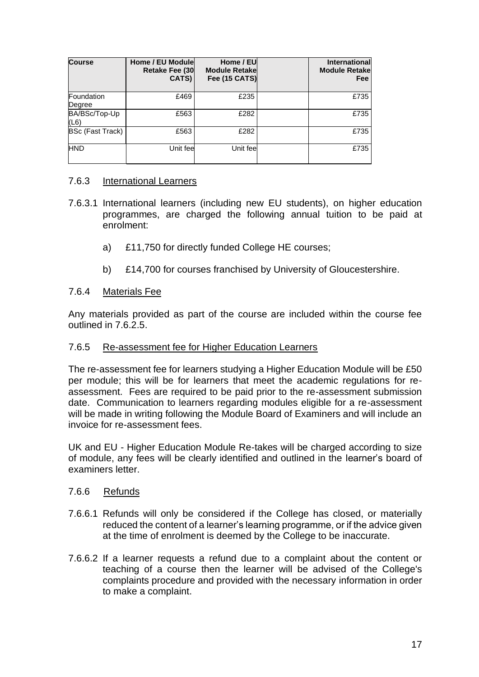| <b>Course</b>           | Home / EU Module<br><b>Retake Fee (30</b><br>CATS) | Home / EU<br><b>Module Retakel</b><br><b>Fee (15 CATS)</b> | <b>International</b><br><b>Module Retake</b><br>Fee |
|-------------------------|----------------------------------------------------|------------------------------------------------------------|-----------------------------------------------------|
| Foundation<br>Degree    | £469                                               | £235                                                       | £735                                                |
| BA/BSc/Top-Up<br>(L6)   | £563                                               | £282                                                       | £735                                                |
| <b>BSc (Fast Track)</b> | £563                                               | £282                                                       | £735                                                |
| <b>HND</b>              | Unit fee                                           | Unit feel                                                  | £735                                                |

#### 7.6.3 International Learners

- 7.6.3.1 International learners (including new EU students), on higher education programmes, are charged the following annual tuition to be paid at enrolment:
	- a) £11,750 for directly funded College HE courses;
	- b) £14,700 for courses franchised by University of Gloucestershire.

#### 7.6.4 Materials Fee

Any materials provided as part of the course are included within the course fee outlined in 7.6.2.5.

#### 7.6.5 Re-assessment fee for Higher Education Learners

The re-assessment fee for learners studying a Higher Education Module will be £50 per module; this will be for learners that meet the academic regulations for reassessment. Fees are required to be paid prior to the re-assessment submission date. Communication to learners regarding modules eligible for a re-assessment will be made in writing following the Module Board of Examiners and will include an invoice for re-assessment fees.

UK and EU - Higher Education Module Re-takes will be charged according to size of module, any fees will be clearly identified and outlined in the learner's board of examiners letter.

#### 7.6.6 Refunds

- 7.6.6.1 Refunds will only be considered if the College has closed, or materially reduced the content of a learner's learning programme, or if the advice given at the time of enrolment is deemed by the College to be inaccurate.
- 7.6.6.2 If a learner requests a refund due to a complaint about the content or teaching of a course then the learner will be advised of the College's complaints procedure and provided with the necessary information in order to make a complaint.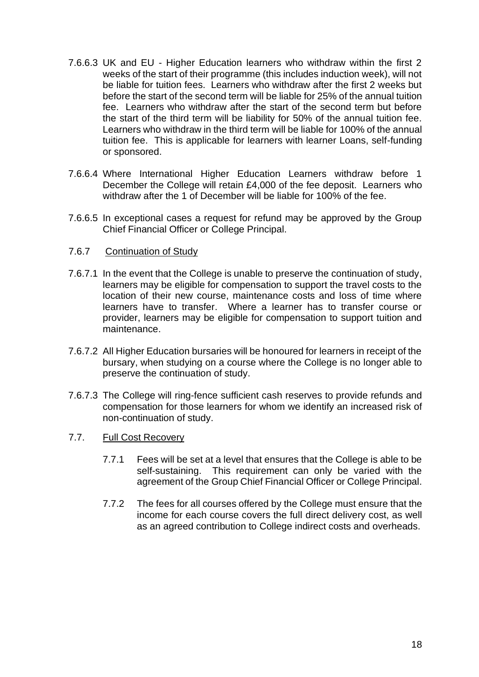- 7.6.6.3 UK and EU Higher Education learners who withdraw within the first 2 weeks of the start of their programme (this includes induction week), will not be liable for tuition fees. Learners who withdraw after the first 2 weeks but before the start of the second term will be liable for 25% of the annual tuition fee. Learners who withdraw after the start of the second term but before the start of the third term will be liability for 50% of the annual tuition fee. Learners who withdraw in the third term will be liable for 100% of the annual tuition fee. This is applicable for learners with learner Loans, self-funding or sponsored.
- 7.6.6.4 Where International Higher Education Learners withdraw before 1 December the College will retain £4,000 of the fee deposit. Learners who withdraw after the 1 of December will be liable for 100% of the fee.
- 7.6.6.5 In exceptional cases a request for refund may be approved by the Group Chief Financial Officer or College Principal.
- 7.6.7 Continuation of Study
- 7.6.7.1 In the event that the College is unable to preserve the continuation of study, learners may be eligible for compensation to support the travel costs to the location of their new course, maintenance costs and loss of time where learners have to transfer. Where a learner has to transfer course or provider, learners may be eligible for compensation to support tuition and maintenance.
- 7.6.7.2 All Higher Education bursaries will be honoured for learners in receipt of the bursary, when studying on a course where the College is no longer able to preserve the continuation of study.
- 7.6.7.3 The College will ring-fence sufficient cash reserves to provide refunds and compensation for those learners for whom we identify an increased risk of non-continuation of study.
- 7.7. Full Cost Recovery
	- 7.7.1 Fees will be set at a level that ensures that the College is able to be self-sustaining. This requirement can only be varied with the agreement of the Group Chief Financial Officer or College Principal.
	- 7.7.2 The fees for all courses offered by the College must ensure that the income for each course covers the full direct delivery cost, as well as an agreed contribution to College indirect costs and overheads.